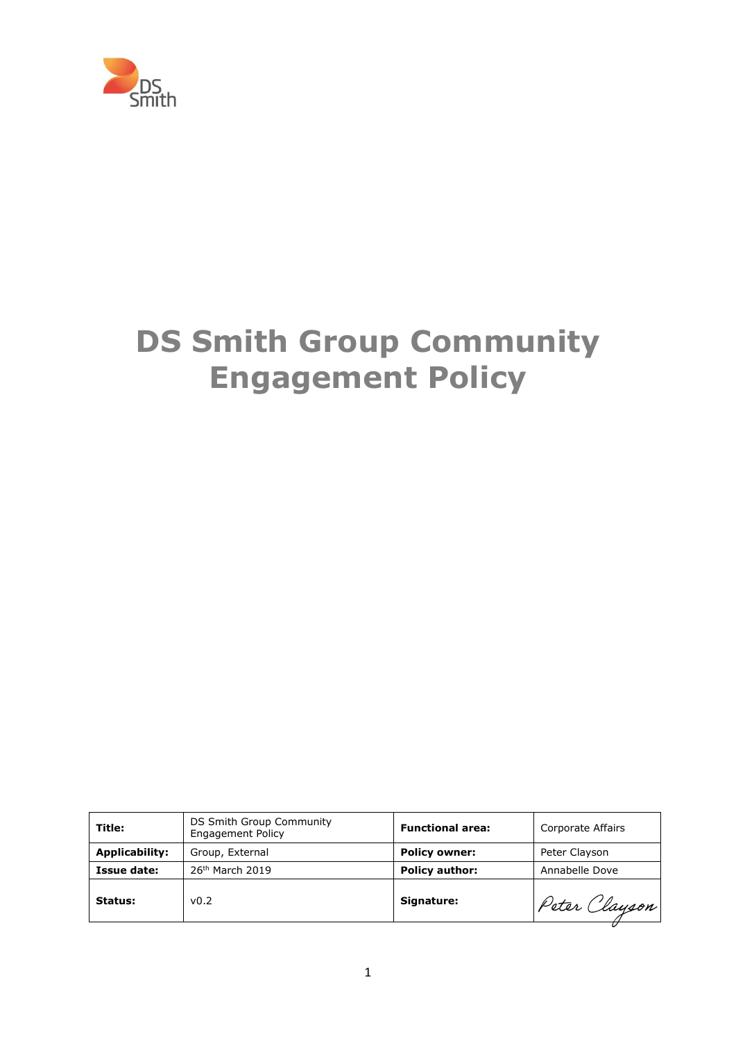

# **DS Smith Group Community Engagement Policy**

| Title:                | DS Smith Group Community<br><b>Engagement Policy</b> | <b>Functional area:</b> | Corporate Affairs |
|-----------------------|------------------------------------------------------|-------------------------|-------------------|
| <b>Applicability:</b> | Group, External                                      | <b>Policy owner:</b>    | Peter Clayson     |
| Issue date:           | 26 <sup>th</sup> March 2019                          | <b>Policy author:</b>   | Annabelle Dove    |
| Status:               | v <sub>0.2</sub>                                     | Signature:              | Peter Clayson     |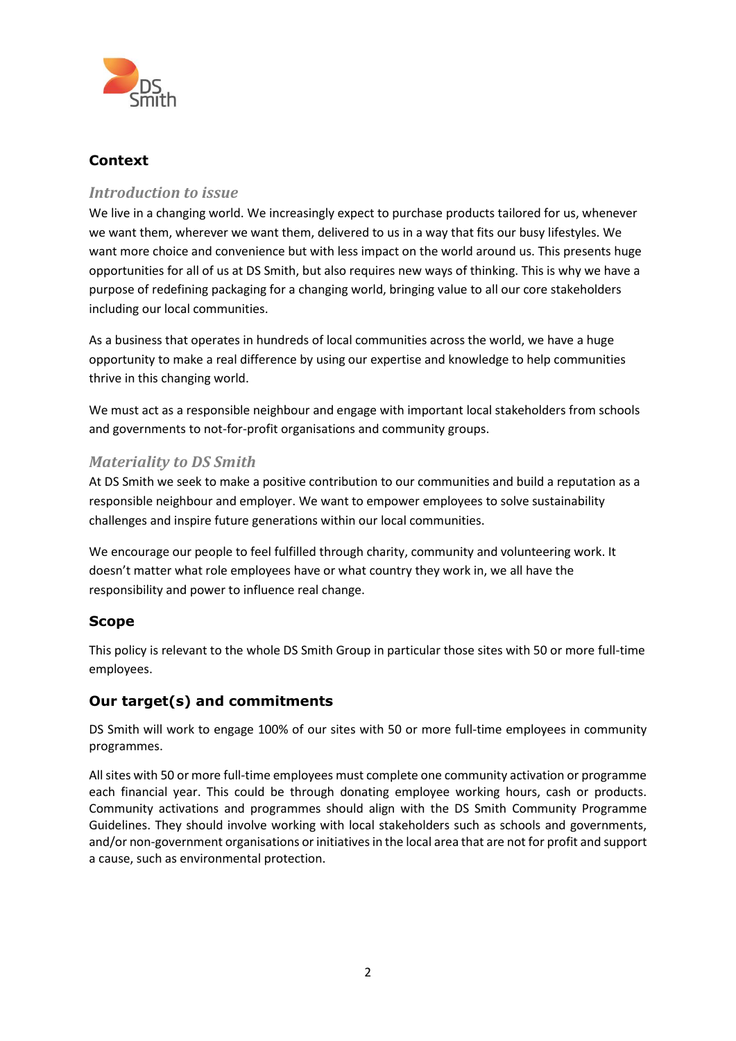

## **Context**

### *Introduction to issue*

We live in a changing world. We increasingly expect to purchase products tailored for us, whenever we want them, wherever we want them, delivered to us in a way that fits our busy lifestyles. We want more choice and convenience but with less impact on the world around us. This presents huge opportunities for all of us at DS Smith, but also requires new ways of thinking. This is why we have a purpose of redefining packaging for a changing world, bringing value to all our core stakeholders including our local communities.

As a business that operates in hundreds of local communities across the world, we have a huge opportunity to make a real difference by using our expertise and knowledge to help communities thrive in this changing world.

We must act as a responsible neighbour and engage with important local stakeholders from schools and governments to not-for-profit organisations and community groups.

### *Materiality to DS Smith*

At DS Smith we seek to make a positive contribution to our communities and build a reputation as a responsible neighbour and employer. We want to empower employees to solve sustainability challenges and inspire future generations within our local communities.

We encourage our people to feel fulfilled through charity, community and volunteering work. It doesn't matter what role employees have or what country they work in, we all have the responsibility and power to influence real change.

#### **Scope**

This policy is relevant to the whole DS Smith Group in particular those sites with 50 or more full-time employees.

#### **Our target(s) and commitments**

DS Smith will work to engage 100% of our sites with 50 or more full-time employees in community programmes.

All sites with 50 or more full-time employees must complete one community activation or programme each financial year. This could be through donating employee working hours, cash or products. Community activations and programmes should align with the DS Smith Community Programme Guidelines. They should involve working with local stakeholders such as schools and governments, and/or non-government organisations or initiatives in the local area that are not for profit and support a cause, such as environmental protection.